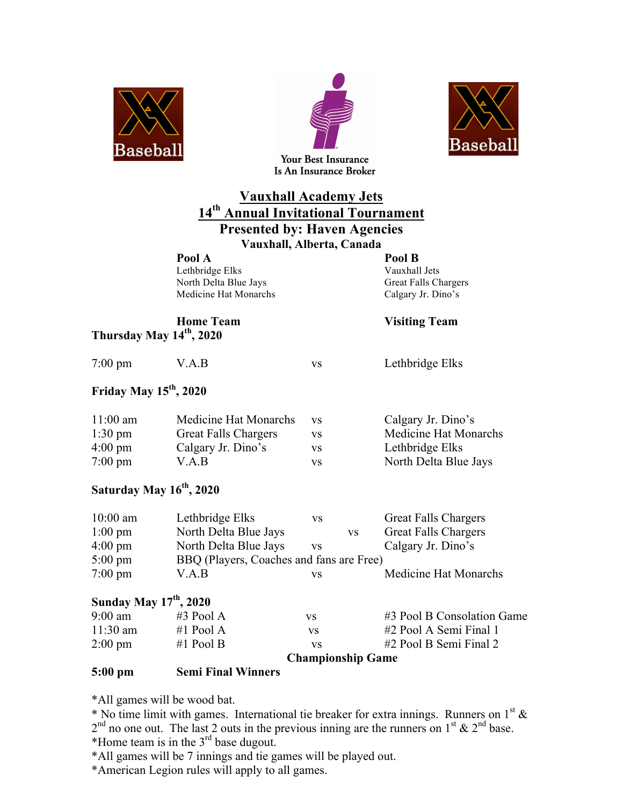





# **Vauxhall Academy Jets 14th Annual Invitational Tournament**

# **Presented by: Haven Agencies**

**Vauxhall, Alberta, Canada**

**Pool A Pool B** Lethbridge Elks Vauxhall Jets North Delta Blue Jays Great Falls Chargers Medicine Hat Monarchs Calgary Jr. Dino's

# **Thursday May 14th, 2020**

#### **Home Team Visiting Team**

7:00 pm V.A.B vs Lethbridge Elks

### **Friday May 15th, 2020**

| $11:00$ am        | Medicine Hat Monarchs       | <b>VS</b> | Calgary Jr. Dino's    |
|-------------------|-----------------------------|-----------|-----------------------|
| $1:30 \text{ pm}$ | <b>Great Falls Chargers</b> | VS.       | Medicine Hat Monarchs |
| $4:00 \text{ pm}$ | Calgary Jr. Dino's          | VS.       | Lethbridge Elks       |
| $7:00 \text{ pm}$ | V.A.B                       | VS        | North Delta Blue Jays |

## **Saturday May 16th, 2020**

| $10:00$ am        | Lethbridge Elks                          | VS  |           | <b>Great Falls Chargers</b> |  |
|-------------------|------------------------------------------|-----|-----------|-----------------------------|--|
| $1:00 \text{ pm}$ | North Delta Blue Jays                    |     | <b>VS</b> | <b>Great Falls Chargers</b> |  |
| $4:00 \text{ pm}$ | North Delta Blue Jays                    | VS. |           | Calgary Jr. Dino's          |  |
| $5:00 \text{ pm}$ | BBQ (Players, Coaches and fans are Free) |     |           |                             |  |
| $7:00 \text{ pm}$ | V.A.B                                    | VS  |           | Medicine Hat Monarchs       |  |

#### **Sunday May 17th, 2020**

| <b>Championship Game</b> |             |     |                            |
|--------------------------|-------------|-----|----------------------------|
| $2:00 \text{ pm}$        | #1 Pool B   | VS. | #2 Pool B Semi Final 2     |
| $11:30 \text{ am}$       | #1 Pool A   | VS  | #2 Pool A Semi Final 1     |
| $9:00 \text{ am}$        | $#3$ Pool A | VS. | #3 Pool B Consolation Game |

#### **5:00 pm Semi Final Winners**

\*All games will be wood bat.

\* No time limit with games. International tie breaker for extra innings. Runners on  $1^{st}$  &  $2<sup>nd</sup>$  no one out. The last 2 outs in the previous inning are the runners on  $1<sup>st</sup>$  &  $2<sup>nd</sup>$  base.

\*Home team is in the 3rd base dugout.

\*All games will be 7 innings and tie games will be played out.

\*American Legion rules will apply to all games.